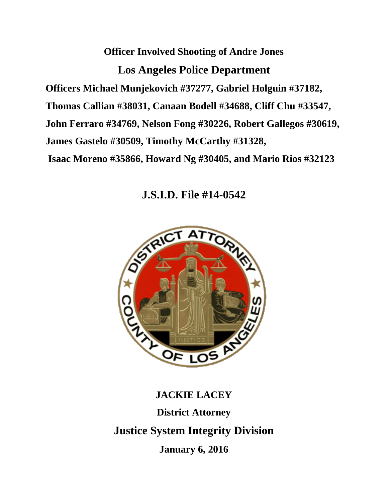**Officer Involved Shooting of Andre Jones Los Angeles Police Department Officers Michael Munjekovich #37277, Gabriel Holguin #37182, Thomas Callian #38031, Canaan Bodell #34688, Cliff Chu #33547, John Ferraro #34769, Nelson Fong #30226, Robert Gallegos #30619, James Gastelo #30509, Timothy McCarthy #31328, Isaac Moreno #35866, Howard Ng #30405, and Mario Rios #32123**

**J.S.I.D. File #14-0542**



**JACKIE LACEY District Attorney Justice System Integrity Division January 6, 2016**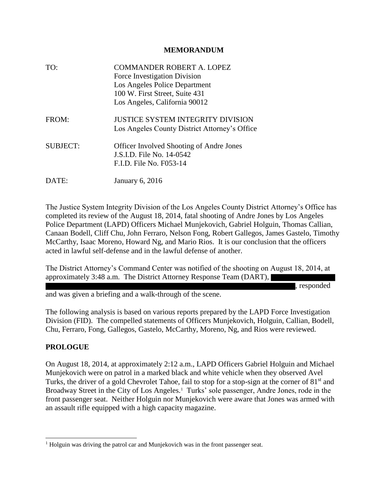## **MEMORANDUM**

| TO:             | <b>COMMANDER ROBERT A. LOPEZ</b><br>Force Investigation Division<br>Los Angeles Police Department<br>100 W. First Street, Suite 431<br>Los Angeles, California 90012 |
|-----------------|----------------------------------------------------------------------------------------------------------------------------------------------------------------------|
| FROM:           | <b>JUSTICE SYSTEM INTEGRITY DIVISION</b><br>Los Angeles County District Attorney's Office                                                                            |
| <b>SUBJECT:</b> | <b>Officer Involved Shooting of Andre Jones</b><br>J.S.I.D. File No. 14-0542<br>F.I.D. File No. F053-14                                                              |
| DATE:           | January 6, 2016                                                                                                                                                      |

The Justice System Integrity Division of the Los Angeles County District Attorney's Office has completed its review of the August 18, 2014, fatal shooting of Andre Jones by Los Angeles Police Department (LAPD) Officers Michael Munjekovich, Gabriel Holguin, Thomas Callian, Canaan Bodell, Cliff Chu, John Ferraro, Nelson Fong, Robert Gallegos, James Gastelo, Timothy McCarthy, Isaac Moreno, Howard Ng, and Mario Rios. It is our conclusion that the officers acted in lawful self-defense and in the lawful defense of another.

The District Attorney's Command Center was notified of the shooting on August 18, 2014, at approximately 3:48 a.m. The District Attorney Response Team (DART),

, responded

and was given a briefing and a walk-through of the scene.

The following analysis is based on various reports prepared by the LAPD Force Investigation Division (FID). The compelled statements of Officers Munjekovich, Holguin, Callian, Bodell, Chu, Ferraro, Fong, Gallegos, Gastelo, McCarthy, Moreno, Ng, and Rios were reviewed.

## **PROLOGUE**

 $\overline{a}$ 

On August 18, 2014, at approximately 2:12 a.m., LAPD Officers Gabriel Holguin and Michael Munjekovich were on patrol in a marked black and white vehicle when they observed Avel Turks, the driver of a gold Chevrolet Tahoe, fail to stop for a stop-sign at the corner of 81<sup>st</sup> and Broadway Street in the City of Los Angeles.<sup>1</sup> Turks' sole passenger, Andre Jones, rode in the front passenger seat. Neither Holguin nor Munjekovich were aware that Jones was armed with an assault rifle equipped with a high capacity magazine.

<sup>&</sup>lt;sup>1</sup> Holguin was driving the patrol car and Munjekovich was in the front passenger seat.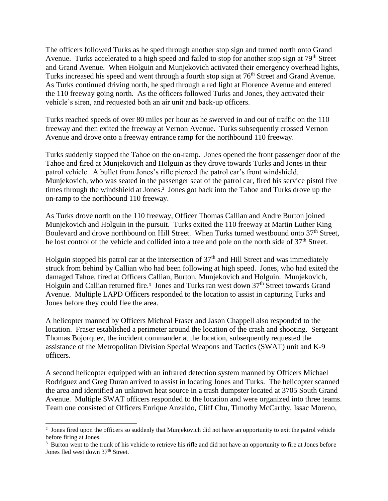The officers followed Turks as he sped through another stop sign and turned north onto Grand Avenue. Turks accelerated to a high speed and failed to stop for another stop sign at 79<sup>th</sup> Street and Grand Avenue. When Holguin and Munjekovich activated their emergency overhead lights, Turks increased his speed and went through a fourth stop sign at 76<sup>th</sup> Street and Grand Avenue. As Turks continued driving north, he sped through a red light at Florence Avenue and entered the 110 freeway going north. As the officers followed Turks and Jones, they activated their vehicle's siren, and requested both an air unit and back-up officers.

Turks reached speeds of over 80 miles per hour as he swerved in and out of traffic on the 110 freeway and then exited the freeway at Vernon Avenue. Turks subsequently crossed Vernon Avenue and drove onto a freeway entrance ramp for the northbound 110 freeway.

Turks suddenly stopped the Tahoe on the on-ramp. Jones opened the front passenger door of the Tahoe and fired at Munjekovich and Holguin as they drove towards Turks and Jones in their patrol vehicle. A bullet from Jones's rifle pierced the patrol car's front windshield. Munjekovich, who was seated in the passenger seat of the patrol car, fired his service pistol five times through the windshield at Jones.<sup>2</sup> Jones got back into the Tahoe and Turks drove up the on-ramp to the northbound 110 freeway.

As Turks drove north on the 110 freeway, Officer Thomas Callian and Andre Burton joined Munjekovich and Holguin in the pursuit. Turks exited the 110 freeway at Martin Luther King Boulevard and drove northbound on Hill Street. When Turks turned westbound onto 37<sup>th</sup> Street, he lost control of the vehicle and collided into a tree and pole on the north side of 37<sup>th</sup> Street.

Holguin stopped his patrol car at the intersection of  $37<sup>th</sup>$  and Hill Street and was immediately struck from behind by Callian who had been following at high speed. Jones, who had exited the damaged Tahoe, fired at Officers Callian, Burton, Munjekovich and Holguin. Munjekovich, Holguin and Callian returned fire.<sup>3</sup> Jones and Turks ran west down 37<sup>th</sup> Street towards Grand Avenue. Multiple LAPD Officers responded to the location to assist in capturing Turks and Jones before they could flee the area.

A helicopter manned by Officers Micheal Fraser and Jason Chappell also responded to the location. Fraser established a perimeter around the location of the crash and shooting. Sergeant Thomas Bojorquez, the incident commander at the location, subsequently requested the assistance of the Metropolitan Division Special Weapons and Tactics (SWAT) unit and K-9 officers.

A second helicopter equipped with an infrared detection system manned by Officers Michael Rodriguez and Greg Duran arrived to assist in locating Jones and Turks. The helicopter scanned the area and identified an unknown heat source in a trash dumpster located at 3705 South Grand Avenue. Multiple SWAT officers responded to the location and were organized into three teams. Team one consisted of Officers Enrique Anzaldo, Cliff Chu, Timothy McCarthy, Issac Moreno,

<sup>&</sup>lt;sup>2</sup> Jones fired upon the officers so suddenly that Munjekovich did not have an opportunity to exit the patrol vehicle before firing at Jones.

<sup>&</sup>lt;sup>3</sup> Burton went to the trunk of his vehicle to retrieve his rifle and did not have an opportunity to fire at Jones before Jones fled west down 37<sup>th</sup> Street.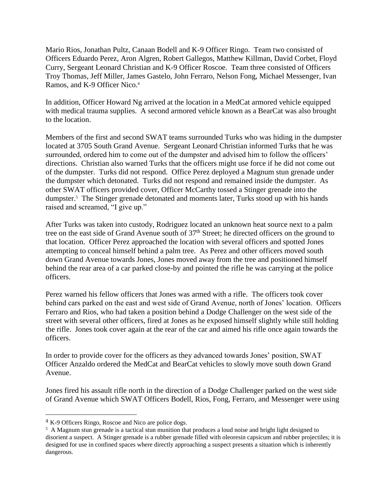Mario Rios, Jonathan Pultz, Canaan Bodell and K-9 Officer Ringo. Team two consisted of Officers Eduardo Perez, Aron Algren, Robert Gallegos, Matthew Killman, David Corbet, Floyd Curry, Sergeant Leonard Christian and K-9 Officer Roscoe. Team three consisted of Officers Troy Thomas, Jeff Miller, James Gastelo, John Ferraro, Nelson Fong, Michael Messenger, Ivan Ramos, and K-9 Officer Nico.<sup>4</sup>

In addition, Officer Howard Ng arrived at the location in a MedCat armored vehicle equipped with medical trauma supplies. A second armored vehicle known as a BearCat was also brought to the location.

Members of the first and second SWAT teams surrounded Turks who was hiding in the dumpster located at 3705 South Grand Avenue. Sergeant Leonard Christian informed Turks that he was surrounded, ordered him to come out of the dumpster and advised him to follow the officers' directions. Christian also warned Turks that the officers might use force if he did not come out of the dumpster. Turks did not respond. Office Perez deployed a Magnum stun grenade under the dumpster which detonated. Turks did not respond and remained inside the dumpster. As other SWAT officers provided cover, Officer McCarthy tossed a Stinger grenade into the dumpster.<sup>5</sup> The Stinger grenade detonated and moments later, Turks stood up with his hands raised and screamed, "I give up."

After Turks was taken into custody, Rodriguez located an unknown heat source next to a palm tree on the east side of Grand Avenue south of 37<sup>th</sup> Street; he directed officers on the ground to that location. Officer Perez approached the location with several officers and spotted Jones attempting to conceal himself behind a palm tree. As Perez and other officers moved south down Grand Avenue towards Jones, Jones moved away from the tree and positioned himself behind the rear area of a car parked close-by and pointed the rifle he was carrying at the police officers.

Perez warned his fellow officers that Jones was armed with a rifle. The officers took cover behind cars parked on the east and west side of Grand Avenue, north of Jones' location. Officers Ferraro and Rios, who had taken a position behind a Dodge Challenger on the west side of the street with several other officers, fired at Jones as he exposed himself slightly while still holding the rifle. Jones took cover again at the rear of the car and aimed his rifle once again towards the officers.

In order to provide cover for the officers as they advanced towards Jones' position, SWAT Officer Anzaldo ordered the MedCat and BearCat vehicles to slowly move south down Grand Avenue.

Jones fired his assault rifle north in the direction of a Dodge Challenger parked on the west side of Grand Avenue which SWAT Officers Bodell, Rios, Fong, Ferraro, and Messenger were using

 $\overline{a}$ 

<sup>4</sup> K-9 Officers Ringo, Roscoe and Nico are police dogs.

<sup>&</sup>lt;sup>5</sup> A Magnum stun grenade is a tactical stun munition that produces a loud noise and bright light designed to disorient a suspect. A Stinger grenade is a rubber grenade filled with oleoresin capsicum and rubber projectiles; it is designed for use in confined spaces where directly approaching a suspect presents a situation which is inherently dangerous.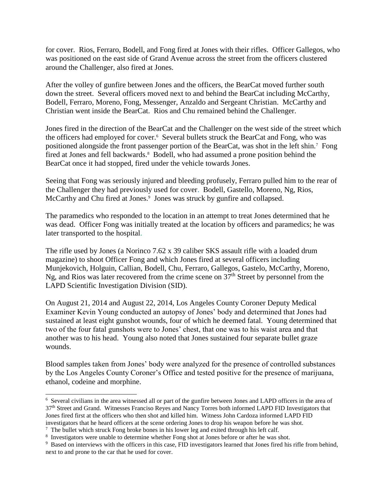for cover. Rios, Ferraro, Bodell, and Fong fired at Jones with their rifles. Officer Gallegos, who was positioned on the east side of Grand Avenue across the street from the officers clustered around the Challenger, also fired at Jones.

After the volley of gunfire between Jones and the officers, the BearCat moved further south down the street. Several officers moved next to and behind the BearCat including McCarthy, Bodell, Ferraro, Moreno, Fong, Messenger, Anzaldo and Sergeant Christian. McCarthy and Christian went inside the BearCat. Rios and Chu remained behind the Challenger.

Jones fired in the direction of the BearCat and the Challenger on the west side of the street which the officers had employed for cover.<sup>6</sup> Several bullets struck the BearCat and Fong, who was positioned alongside the front passenger portion of the BearCat, was shot in the left shin.<sup>7</sup> Fong fired at Jones and fell backwards.<sup>8</sup> Bodell, who had assumed a prone position behind the BearCat once it had stopped, fired under the vehicle towards Jones.

Seeing that Fong was seriously injured and bleeding profusely, Ferraro pulled him to the rear of the Challenger they had previously used for cover. Bodell, Gastello, Moreno, Ng, Rios, McCarthy and Chu fired at Jones.<sup>9</sup> Jones was struck by gunfire and collapsed.

The paramedics who responded to the location in an attempt to treat Jones determined that he was dead. Officer Fong was initially treated at the location by officers and paramedics; he was later transported to the hospital.

The rifle used by Jones (a Norinco 7.62 x 39 caliber SKS assault rifle with a loaded drum magazine) to shoot Officer Fong and which Jones fired at several officers including Munjekovich, Holguin, Callian, Bodell, Chu, Ferraro, Gallegos, Gastelo, McCarthy, Moreno, Ng, and Rios was later recovered from the crime scene on  $37<sup>th</sup>$  Street by personnel from the LAPD Scientific Investigation Division (SID).

On August 21, 2014 and August 22, 2014, Los Angeles County Coroner Deputy Medical Examiner Kevin Young conducted an autopsy of Jones' body and determined that Jones had sustained at least eight gunshot wounds, four of which he deemed fatal. Young determined that two of the four fatal gunshots were to Jones' chest, that one was to his waist area and that another was to his head. Young also noted that Jones sustained four separate bullet graze wounds.

Blood samples taken from Jones' body were analyzed for the presence of controlled substances by the Los Angeles County Coroner's Office and tested positive for the presence of marijuana, ethanol, codeine and morphine.

 $\overline{a}$ 

<sup>&</sup>lt;sup>6</sup> Several civilians in the area witnessed all or part of the gunfire between Jones and LAPD officers in the area of 37th Street and Grand. Witnesses Franciso Reyes and Nancy Torres both informed LAPD FID Investigators that Jones fired first at the officers who then shot and killed him. Witness John Cardoza informed LAPD FID investigators that he heard officers at the scene ordering Jones to drop his weapon before he was shot.

 $<sup>7</sup>$  The bullet which struck Fong broke bones in his lower leg and exited through his left calf.</sup>

<sup>&</sup>lt;sup>8</sup> Investigators were unable to determine whether Fong shot at Jones before or after he was shot.

<sup>&</sup>lt;sup>9</sup> Based on interviews with the officers in this case, FID investigators learned that Jones fired his rifle from behind, next to and prone to the car that he used for cover.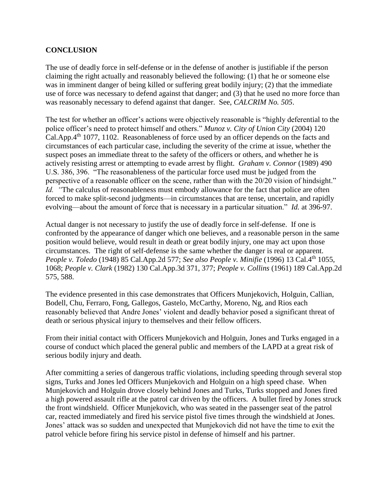## **CONCLUSION**

The use of deadly force in self-defense or in the defense of another is justifiable if the person claiming the right actually and reasonably believed the following: (1) that he or someone else was in imminent danger of being killed or suffering great bodily injury; (2) that the immediate use of force was necessary to defend against that danger; and (3) that he used no more force than was reasonably necessary to defend against that danger. See, *CALCRIM No. 505*.

The test for whether an officer's actions were objectively reasonable is "highly deferential to the police officer's need to protect himself and others." *Munoz v. City of Union City* (2004) 120 Cal.App.4th 1077, 1102. Reasonableness of force used by an officer depends on the facts and circumstances of each particular case, including the severity of the crime at issue, whether the suspect poses an immediate threat to the safety of the officers or others, and whether he is actively resisting arrest or attempting to evade arrest by flight. *Graham v. Connor* (1989) 490 U.S. 386, 396. "The reasonableness of the particular force used must be judged from the perspective of a reasonable officer on the scene, rather than with the 20/20 vision of hindsight." *Id.* "The calculus of reasonableness must embody allowance for the fact that police are often forced to make split-second judgments—in circumstances that are tense, uncertain, and rapidly evolving—about the amount of force that is necessary in a particular situation." *Id.* at 396-97.

Actual danger is not necessary to justify the use of deadly force in self-defense. If one is confronted by the appearance of danger which one believes, and a reasonable person in the same position would believe, would result in death or great bodily injury, one may act upon those circumstances. The right of self-defense is the same whether the danger is real or apparent. *People v. Toledo* (1948) 85 Cal.App.2d 577; *See also People v. Minifie* (1996) 13 Cal.4th 1055, 1068; *People v. Clark* (1982) 130 Cal.App.3d 371, 377; *People v. Collins* (1961) 189 Cal.App.2d 575, 588.

The evidence presented in this case demonstrates that Officers Munjekovich, Holguin, Callian, Bodell, Chu, Ferraro, Fong, Gallegos, Gastelo, McCarthy, Moreno, Ng, and Rios each reasonably believed that Andre Jones' violent and deadly behavior posed a significant threat of death or serious physical injury to themselves and their fellow officers.

From their initial contact with Officers Munjekovich and Holguin, Jones and Turks engaged in a course of conduct which placed the general public and members of the LAPD at a great risk of serious bodily injury and death.

After committing a series of dangerous traffic violations, including speeding through several stop signs, Turks and Jones led Officers Munjekovich and Holguin on a high speed chase. When Munjekovich and Holguin drove closely behind Jones and Turks, Turks stopped and Jones fired a high powered assault rifle at the patrol car driven by the officers. A bullet fired by Jones struck the front windshield. Officer Munjekovich, who was seated in the passenger seat of the patrol car, reacted immediately and fired his service pistol five times through the windshield at Jones. Jones' attack was so sudden and unexpected that Munjekovich did not have the time to exit the patrol vehicle before firing his service pistol in defense of himself and his partner.